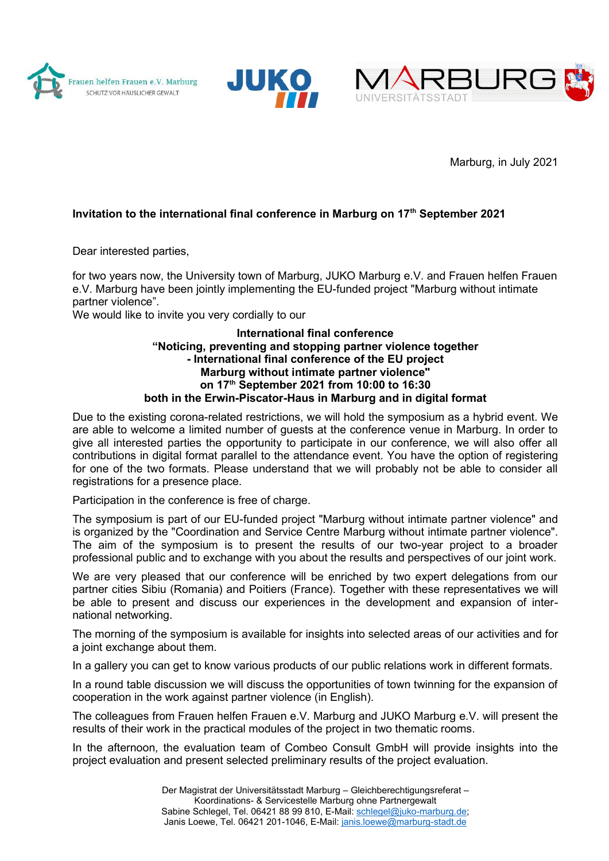





Marburg, in July 2021

## Invitation to the international final conference in Marburg on 17<sup>th</sup> September 2021

Dear interested parties,

for two years now, the University town of Marburg, JUKO Marburg e.V. and Frauen helfen Frauen e.V. Marburg have been jointly implementing the EU-funded project "Marburg without intimate partner violence".

We would like to invite you very cordially to our

## International final conference "Noticing, preventing and stopping partner violence together - International final conference of the EU project Marburg without intimate partner violence" on 17th September 2021 from 10:00 to 16:30 both in the Erwin-Piscator-Haus in Marburg and in digital format

Due to the existing corona-related restrictions, we will hold the symposium as a hybrid event. We are able to welcome a limited number of guests at the conference venue in Marburg. In order to give all interested parties the opportunity to participate in our conference, we will also offer all contributions in digital format parallel to the attendance event. You have the option of registering for one of the two formats. Please understand that we will probably not be able to consider all registrations for a presence place.

Participation in the conference is free of charge.

The symposium is part of our EU-funded project "Marburg without intimate partner violence" and is organized by the "Coordination and Service Centre Marburg without intimate partner violence". The aim of the symposium is to present the results of our two-year project to a broader professional public and to exchange with you about the results and perspectives of our joint work.

We are very pleased that our conference will be enriched by two expert delegations from our partner cities Sibiu (Romania) and Poitiers (France). Together with these representatives we will be able to present and discuss our experiences in the development and expansion of international networking.

The morning of the symposium is available for insights into selected areas of our activities and for a joint exchange about them.

In a gallery you can get to know various products of our public relations work in different formats.

In a round table discussion we will discuss the opportunities of town twinning for the expansion of cooperation in the work against partner violence (in English).

The colleagues from Frauen helfen Frauen e.V. Marburg and JUKO Marburg e.V. will present the results of their work in the practical modules of the project in two thematic rooms.

In the afternoon, the evaluation team of Combeo Consult GmbH will provide insights into the project evaluation and present selected preliminary results of the project evaluation.